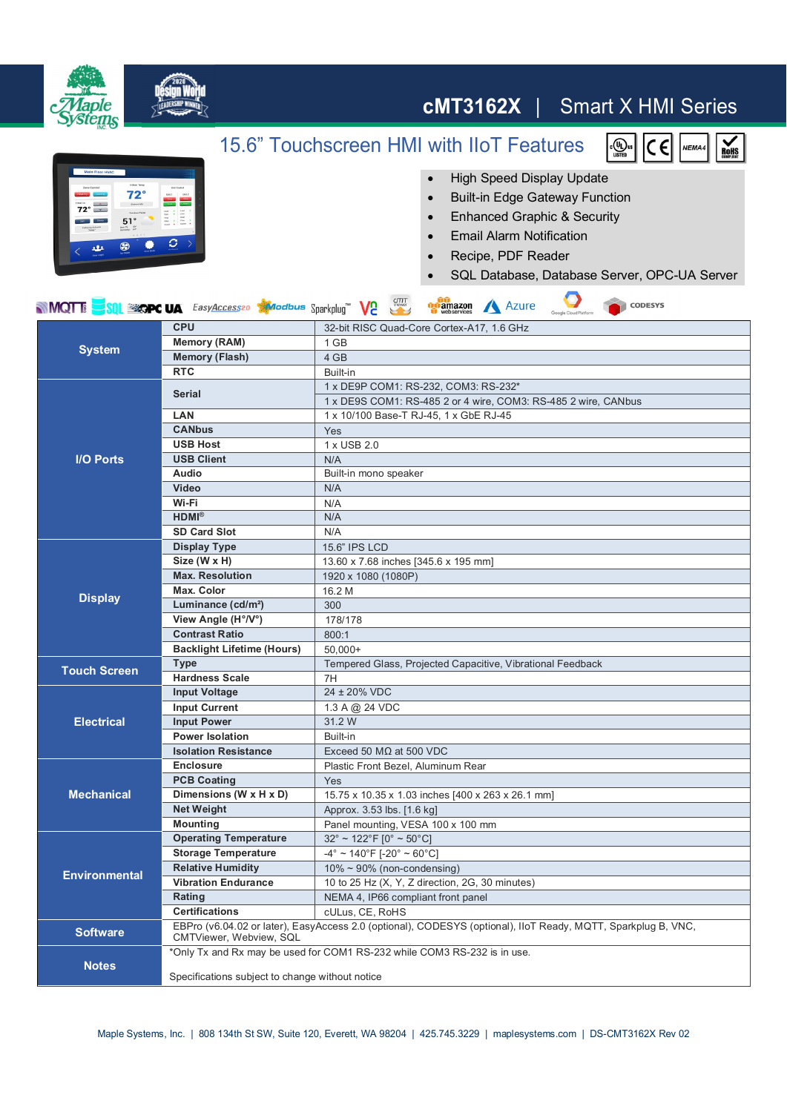

## **cMT3162X** | Smart X HMI Series

 $\begin{bmatrix} 0 \\ 0 \\ 0 \end{bmatrix}$ us

 $|c \epsilon|$ 

NEMA4

 $M<sub>on</sub>$ 

15.6" Touchscreen HMI with IIoT Features



## ● High Speed Display Update

- Built-in Edge Gateway Function
- ∂ Enhanced Graphic & Security
- ∂ Email Alarm Notification
- ∂ Recipe, PDF Reader
- ∂ SQL Database, Database Server, OPC-UA Server

 $\sqrt{2}$ 

| <b>MOTT:</b> SQL EXCPC UA FasyAccess20 Alacabus Sparkplug V2<br><b>Digitamazon</b> Azure<br><b>CODESYS</b> |                                                 |                                                                                                               |
|------------------------------------------------------------------------------------------------------------|-------------------------------------------------|---------------------------------------------------------------------------------------------------------------|
| <b>System</b>                                                                                              | <b>CPU</b>                                      | 32-bit RISC Quad-Core Cortex-A17, 1.6 GHz                                                                     |
|                                                                                                            | <b>Memory (RAM)</b>                             | 1 GB                                                                                                          |
|                                                                                                            | <b>Memory (Flash)</b>                           | 4 GB                                                                                                          |
|                                                                                                            | <b>RTC</b>                                      | Built-in                                                                                                      |
| <b>I/O Ports</b>                                                                                           | <b>Serial</b>                                   | 1 x DE9P COM1: RS-232, COM3: RS-232*                                                                          |
|                                                                                                            |                                                 | 1 x DE9S COM1: RS-485 2 or 4 wire, COM3: RS-485 2 wire, CANbus                                                |
|                                                                                                            | LAN                                             | 1 x 10/100 Base-T RJ-45, 1 x GbE RJ-45                                                                        |
|                                                                                                            | <b>CANbus</b>                                   | Yes                                                                                                           |
|                                                                                                            | <b>USB Host</b>                                 | 1 x USB 2.0                                                                                                   |
|                                                                                                            | <b>USB Client</b>                               | N/A                                                                                                           |
|                                                                                                            | Audio                                           | Built-in mono speaker                                                                                         |
|                                                                                                            | <b>Video</b>                                    | N/A                                                                                                           |
|                                                                                                            | Wi-Fi                                           | N/A                                                                                                           |
|                                                                                                            | $HDMI^{\otimes}$                                | N/A                                                                                                           |
|                                                                                                            | <b>SD Card Slot</b>                             | N/A                                                                                                           |
| <b>Display</b><br><b>Touch Screen</b>                                                                      | <b>Display Type</b>                             | 15.6" IPS LCD                                                                                                 |
|                                                                                                            | Size (W x H)<br><b>Max. Resolution</b>          | 13.60 x 7.68 inches [345.6 x 195 mm]                                                                          |
|                                                                                                            |                                                 | 1920 x 1080 (1080P)                                                                                           |
|                                                                                                            | <b>Max. Color</b>                               | 16.2 M                                                                                                        |
|                                                                                                            | Luminance (cd/m <sup>2</sup> )                  | 300                                                                                                           |
|                                                                                                            | View Angle (H°/V°)                              | 178/178                                                                                                       |
|                                                                                                            | <b>Contrast Ratio</b>                           | 800:1                                                                                                         |
|                                                                                                            | <b>Backlight Lifetime (Hours)</b>               | $50.000+$                                                                                                     |
|                                                                                                            | <b>Type</b>                                     | Tempered Glass, Projected Capacitive, Vibrational Feedback                                                    |
|                                                                                                            | <b>Hardness Scale</b>                           | 7H<br>24 ± 20% VDC                                                                                            |
| <b>Electrical</b>                                                                                          | <b>Input Voltage</b>                            |                                                                                                               |
|                                                                                                            | <b>Input Current</b><br><b>Input Power</b>      | 1.3 A @ 24 VDC<br>31.2 W                                                                                      |
|                                                                                                            | <b>Power Isolation</b>                          | Built-in                                                                                                      |
|                                                                                                            | <b>Isolation Resistance</b>                     | Exceed 50 $M\Omega$ at 500 VDC                                                                                |
|                                                                                                            | <b>Enclosure</b>                                |                                                                                                               |
| <b>Mechanical</b>                                                                                          | <b>PCB Coating</b>                              | Plastic Front Bezel, Aluminum Rear                                                                            |
|                                                                                                            | Dimensions (W x H x D)                          | Yes                                                                                                           |
|                                                                                                            | <b>Net Weight</b>                               | 15.75 x 10.35 x 1.03 inches [400 x 263 x 26.1 mm]                                                             |
|                                                                                                            | <b>Mounting</b>                                 | Approx. 3.53 lbs. [1.6 kg]                                                                                    |
|                                                                                                            | <b>Operating Temperature</b>                    | Panel mounting, VESA 100 x 100 mm<br>$32^{\circ}$ ~ 122 $^{\circ}$ F [0 $^{\circ}$ ~ 50 $^{\circ}$ C]         |
| <b>Environmental</b>                                                                                       | <b>Storage Temperature</b>                      | $-4^{\circ}$ ~ 140°F [-20° ~ 60°C]                                                                            |
|                                                                                                            | <b>Relative Humidity</b>                        | $10\% \sim 90\%$ (non-condensing)                                                                             |
|                                                                                                            | <b>Vibration Endurance</b>                      | 10 to 25 Hz (X, Y, Z direction, 2G, 30 minutes)                                                               |
|                                                                                                            | Rating                                          | NEMA 4, IP66 compliant front panel                                                                            |
|                                                                                                            | <b>Certifications</b>                           | cULus, CE, RoHS                                                                                               |
| <b>Software</b>                                                                                            |                                                 | EBPro (v6.04.02 or later), EasyAccess 2.0 (optional), CODESYS (optional), IIoT Ready, MQTT, Sparkplug B, VNC, |
|                                                                                                            | CMTViewer, Webview, SQL                         |                                                                                                               |
| <b>Notes</b>                                                                                               |                                                 | *Only Tx and Rx may be used for COM1 RS-232 while COM3 RS-232 is in use.                                      |
|                                                                                                            |                                                 |                                                                                                               |
|                                                                                                            | Specifications subject to change without notice |                                                                                                               |